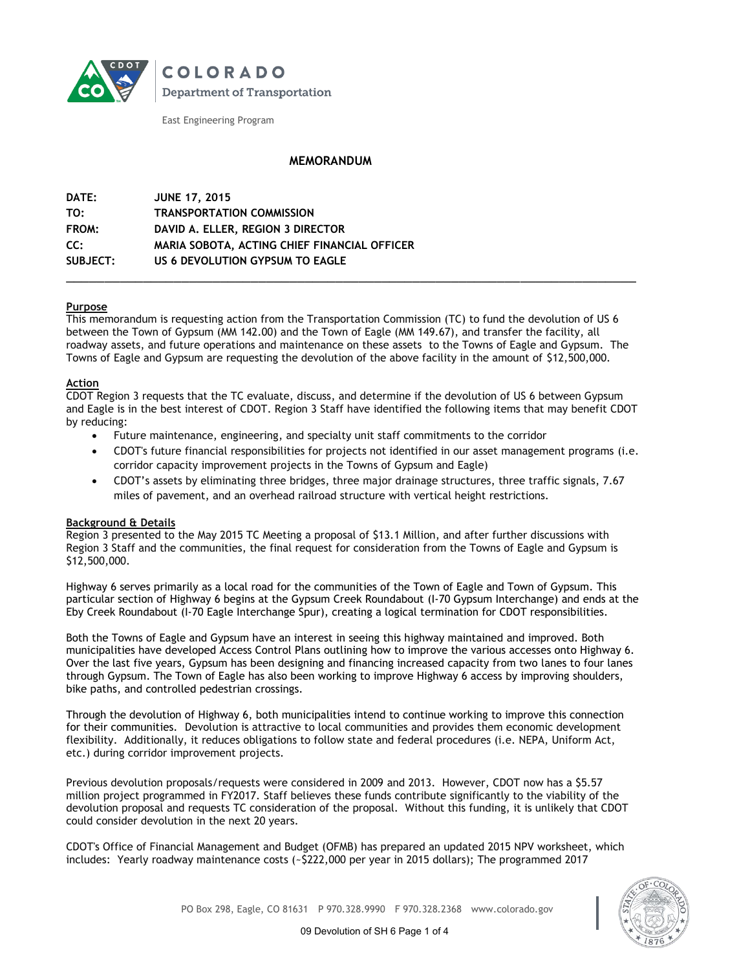

**COLORADO Department of Transportation** 

East Engineering Program

## **MEMORANDUM**

| DATE:    | <b>JUNE 17, 2015</b>                         |
|----------|----------------------------------------------|
| TO:      | <b>TRANSPORTATION COMMISSION</b>             |
| FROM:    | DAVID A. ELLER, REGION 3 DIRECTOR            |
| CC:      | MARIA SOBOTA, ACTING CHIEF FINANCIAL OFFICER |
| SUBJECT: | US 6 DEVOLUTION GYPSUM TO EAGLE              |
|          |                                              |

## **Purpose**

This memorandum is requesting action from the Transportation Commission (TC) to fund the devolution of US 6 between the Town of Gypsum (MM 142.00) and the Town of Eagle (MM 149.67), and transfer the facility, all roadway assets, and future operations and maintenance on these assets to the Towns of Eagle and Gypsum. The Towns of Eagle and Gypsum are requesting the devolution of the above facility in the amount of \$12,500,000.

#### **Action**

CDOT Region 3 requests that the TC evaluate, discuss, and determine if the devolution of US 6 between Gypsum and Eagle is in the best interest of CDOT. Region 3 Staff have identified the following items that may benefit CDOT by reducing:

- Future maintenance, engineering, and specialty unit staff commitments to the corridor
- CDOT's future financial responsibilities for projects not identified in our asset management programs (i.e. corridor capacity improvement projects in the Towns of Gypsum and Eagle)
- CDOT's assets by eliminating three bridges, three major drainage structures, three traffic signals, 7.67 miles of pavement, and an overhead railroad structure with vertical height restrictions.

## **Background & Details**

Region 3 presented to the May 2015 TC Meeting a proposal of \$13.1 Million, and after further discussions with Region 3 Staff and the communities, the final request for consideration from the Towns of Eagle and Gypsum is \$12,500,000.

Highway 6 serves primarily as a local road for the communities of the Town of Eagle and Town of Gypsum. This particular section of Highway 6 begins at the Gypsum Creek Roundabout (I-70 Gypsum Interchange) and ends at the Eby Creek Roundabout (I-70 Eagle Interchange Spur), creating a logical termination for CDOT responsibilities.

Both the Towns of Eagle and Gypsum have an interest in seeing this highway maintained and improved. Both municipalities have developed Access Control Plans outlining how to improve the various accesses onto Highway 6. Over the last five years, Gypsum has been designing and financing increased capacity from two lanes to four lanes through Gypsum. The Town of Eagle has also been working to improve Highway 6 access by improving shoulders, bike paths, and controlled pedestrian crossings.

Through the devolution of Highway 6, both municipalities intend to continue working to improve this connection for their communities. Devolution is attractive to local communities and provides them economic development flexibility. Additionally, it reduces obligations to follow state and federal procedures (i.e. NEPA, Uniform Act, etc.) during corridor improvement projects.

Previous devolution proposals/requests were considered in 2009 and 2013. However, CDOT now has a \$5.57 million project programmed in FY2017. Staff believes these funds contribute significantly to the viability of the devolution proposal and requests TC consideration of the proposal. Without this funding, it is unlikely that CDOT could consider devolution in the next 20 years.

CDOT's Office of Financial Management and Budget (OFMB) has prepared an updated 2015 NPV worksheet, which includes: Yearly roadway maintenance costs (~\$222,000 per year in 2015 dollars); The programmed 2017



PO Box 298, Eagle, CO 81631 P 970.328.9990 F 970.328.2368 www.colorado.gov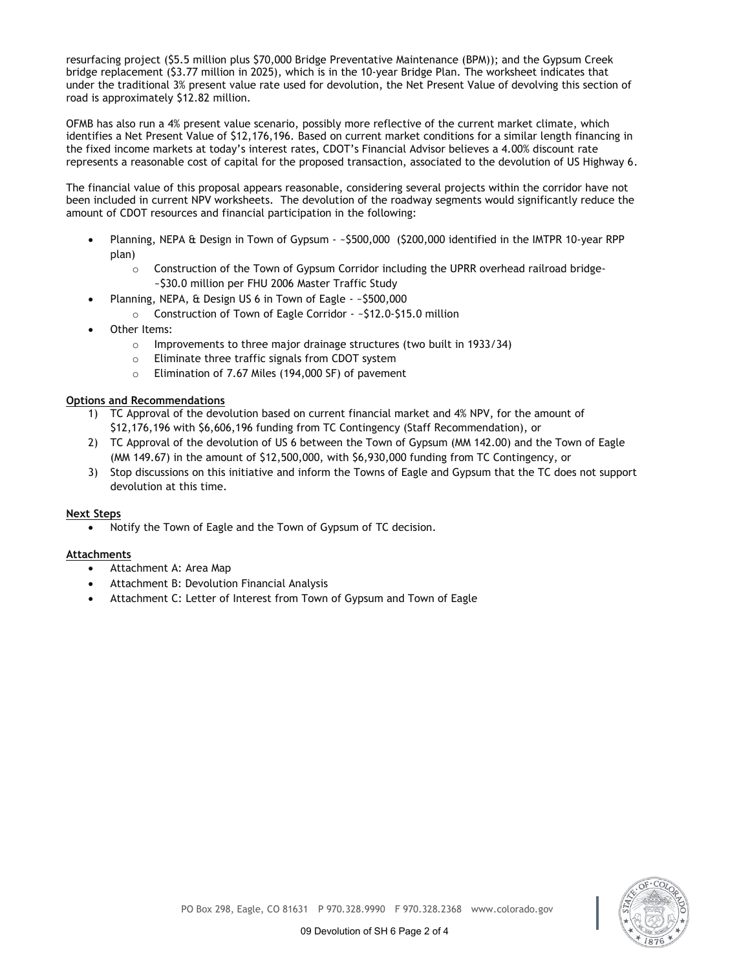resurfacing project (\$5.5 million plus \$70,000 Bridge Preventative Maintenance (BPM)); and the Gypsum Creek bridge replacement (\$3.77 million in 2025), which is in the 10-year Bridge Plan. The worksheet indicates that under the traditional 3% present value rate used for devolution, the Net Present Value of devolving this section of road is approximately \$12.82 million.

OFMB has also run a 4% present value scenario, possibly more reflective of the current market climate, which identifies a Net Present Value of \$12,176,196. Based on current market conditions for a similar length financing in the fixed income markets at today's interest rates, CDOT's Financial Advisor believes a 4.00% discount rate represents a reasonable cost of capital for the proposed transaction, associated to the devolution of US Highway 6.

The financial value of this proposal appears reasonable, considering several projects within the corridor have not been included in current NPV worksheets. The devolution of the roadway segments would significantly reduce the amount of CDOT resources and financial participation in the following:

- Planning, NEPA & Design in Town of Gypsum ~\$500,000 (\$200,000 identified in the IMTPR 10-year RPP plan)
	- o Construction of the Town of Gypsum Corridor including the UPRR overhead railroad bridge- ~\$30.0 million per FHU 2006 Master Traffic Study
	- Planning, NEPA, & Design US 6 in Town of Eagle ~\$500,000
		- o Construction of Town of Eagle Corridor ~\$12.0-\$15.0 million
- Other Items:
	- o Improvements to three major drainage structures (two built in 1933/34)
	- o Eliminate three traffic signals from CDOT system
	- o Elimination of 7.67 Miles (194,000 SF) of pavement

## **Options and Recommendations**

- 1) TC Approval of the devolution based on current financial market and 4% NPV, for the amount of \$12,176,196 with \$6,606,196 funding from TC Contingency (Staff Recommendation), or
- 2) TC Approval of the devolution of US 6 between the Town of Gypsum (MM 142.00) and the Town of Eagle (MM 149.67) in the amount of \$12,500,000, with \$6,930,000 funding from TC Contingency, or
- 3) Stop discussions on this initiative and inform the Towns of Eagle and Gypsum that the TC does not support devolution at this time.

## **Next Steps**

Notify the Town of Eagle and the Town of Gypsum of TC decision.

## **Attachments**

- Attachment A: Area Map
- Attachment B: Devolution Financial Analysis
- Attachment C: Letter of Interest from Town of Gypsum and Town of Eagle

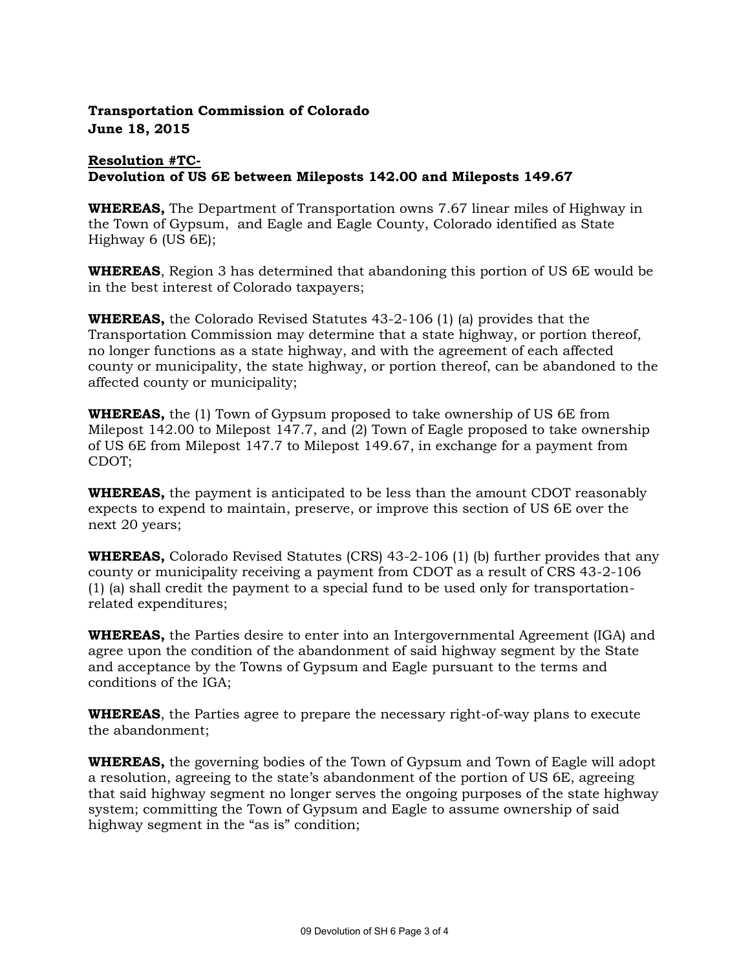# **Transportation Commission of Colorado June 18, 2015**

# **Resolution #TC-Devolution of US 6E between Mileposts 142.00 and Mileposts 149.67**

**WHEREAS,** The Department of Transportation owns 7.67 linear miles of Highway in the Town of Gypsum, and Eagle and Eagle County, Colorado identified as State Highway 6 (US 6E);

**WHEREAS**, Region 3 has determined that abandoning this portion of US 6E would be in the best interest of Colorado taxpayers;

**WHEREAS,** the Colorado Revised Statutes 43-2-106 (1) (a) provides that the Transportation Commission may determine that a state highway, or portion thereof, no longer functions as a state highway, and with the agreement of each affected county or municipality, the state highway, or portion thereof, can be abandoned to the affected county or municipality;

**WHEREAS,** the (1) Town of Gypsum proposed to take ownership of US 6E from Milepost 142.00 to Milepost 147.7, and (2) Town of Eagle proposed to take ownership of US 6E from Milepost 147.7 to Milepost 149.67, in exchange for a payment from CDOT;

**WHEREAS,** the payment is anticipated to be less than the amount CDOT reasonably expects to expend to maintain, preserve, or improve this section of US 6E over the next 20 years;

**WHEREAS,** Colorado Revised Statutes (CRS) 43-2-106 (1) (b) further provides that any county or municipality receiving a payment from CDOT as a result of CRS 43-2-106 (1) (a) shall credit the payment to a special fund to be used only for transportationrelated expenditures;

**WHEREAS,** the Parties desire to enter into an Intergovernmental Agreement (IGA) and agree upon the condition of the abandonment of said highway segment by the State and acceptance by the Towns of Gypsum and Eagle pursuant to the terms and conditions of the IGA;

**WHEREAS**, the Parties agree to prepare the necessary right-of-way plans to execute the abandonment;

**WHEREAS,** the governing bodies of the Town of Gypsum and Town of Eagle will adopt a resolution, agreeing to the state's abandonment of the portion of US 6E, agreeing that said highway segment no longer serves the ongoing purposes of the state highway system; committing the Town of Gypsum and Eagle to assume ownership of said highway segment in the "as is" condition;